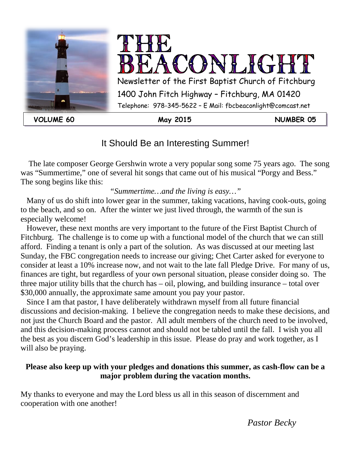

#### It Should Be an Interesting Summer!

 The late composer George Gershwin wrote a very popular song some 75 years ago. The song was "Summertime," one of several hit songs that came out of his musical "Porgy and Bess." The song begins like this:

*"Summertime…and the living is easy…"*

Many of us do shift into lower gear in the summer, taking vacations, having cook-outs, going to the beach, and so on. After the winter we just lived through, the warmth of the sun is especially welcome!

 However, these next months are very important to the future of the First Baptist Church of Fitchburg. The challenge is to come up with a functional model of the church that we can still afford. Finding a tenant is only a part of the solution. As was discussed at our meeting last Sunday, the FBC congregation needs to increase our giving; Chet Carter asked for everyone to consider at least a 10% increase now, and not wait to the late fall Pledge Drive. For many of us, finances are tight, but regardless of your own personal situation, please consider doing so. The three major utility bills that the church has – oil, plowing, and building insurance – total over \$30,000 annually, the approximate same amount you pay your pastor.

 Since I am that pastor, I have deliberately withdrawn myself from all future financial discussions and decision-making. I believe the congregation needs to make these decisions, and not just the Church Board and the pastor. All adult members of the church need to be involved, and this decision-making process cannot and should not be tabled until the fall. I wish you all the best as you discern God's leadership in this issue. Please do pray and work together, as I will also be praying.

#### **Please also keep up with your pledges and donations this summer, as cash-flow can be a major problem during the vacation months.**

My thanks to everyone and may the Lord bless us all in this season of discernment and cooperation with one another!

*Pastor Becky*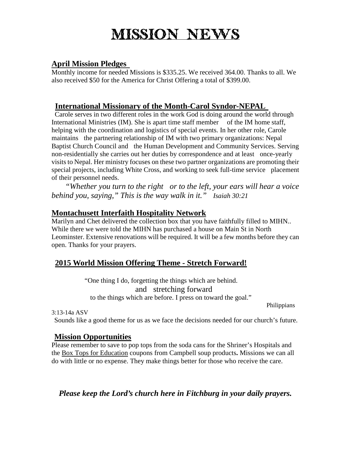# MISSION NEWS

#### **April Mission Pledges**

Monthly income for needed Missions is \$335.25. We received 364.00. Thanks to all. We also received \$50 for the America for Christ Offering a total of \$399.00.

#### **International Missionary of the Month-Carol Syndor-NEPAL**

Carole serves in two different roles in the work God is doing around the world through International Ministries (IM). She is apart time staff member of the IM home staff, helping with the coordination and logistics of special events. In her other role, Carole maintains the partnering relationship of IM with two primary organizations: Nepal Baptist Church Council and the Human Development and Community Services. Serving non-residentially she carries out her duties by correspondence and at least once-yearly visits to Nepal. Her ministry focuses on these two partner organizations are promoting their special projects, including White Cross, and working to seek full-time service placement of their personnel needs.

*"Whether you turn to the right or to the left, your ears will hear a voice behind you, saying," This is the way walk in it." Isaiah 30:21*

#### **Montachusett Interfaith Hospitality Network**

Marilyn and Chet delivered the collection box that you have faithfully filled to MIHN.. While there we were told the MIHN has purchased a house on Main St in North Leominster. Extensive renovations will be required. It will be a few months before they can open. Thanks for your prayers.

#### **2015 World Mission Offering Theme - Stretch Forward!**

 "One thing I do, forgetting the things which are behind. and stretching forward to the things which are before. I press on toward the goal."

Philippians

3:13-14a ASV

Sounds like a good theme for us as we face the decisions needed for our church's future.

#### **Mission Opportunities**

Please remember to save to pop tops from the soda cans for the Shriner's Hospitals and the Box Tops for Education coupons from Campbell soup products**.** Missions we can all do with little or no expense. They make things better for those who receive the care.

*Please keep the Lord's church here in Fitchburg in your daily prayers.*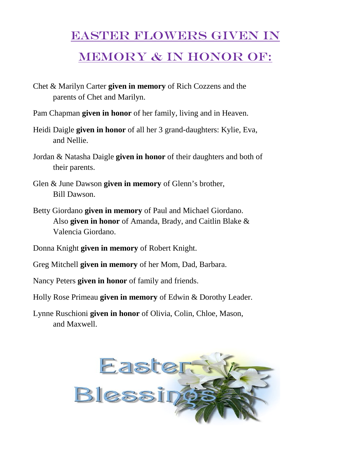# Easter Flowers Given in Memory & in Honor of:

- Chet & Marilyn Carter **given in memory** of Rich Cozzens and the parents of Chet and Marilyn.
- Pam Chapman **given in honor** of her family, living and in Heaven.
- Heidi Daigle **given in honor** of all her 3 grand-daughters: Kylie, Eva, and Nellie.
- Jordan & Natasha Daigle **given in honor** of their daughters and both of their parents.
- Glen & June Dawson **given in memory** of Glenn's brother, Bill Dawson.
- Betty Giordano **given in memory** of Paul and Michael Giordano. Also **given in honor** of Amanda, Brady, and Caitlin Blake & Valencia Giordano.
- Donna Knight **given in memory** of Robert Knight.
- Greg Mitchell **given in memory** of her Mom, Dad, Barbara.
- Nancy Peters **given in honor** of family and friends.
- Holly Rose Primeau **given in memory** of Edwin & Dorothy Leader.
- Lynne Ruschioni **given in honor** of Olivia, Colin, Chloe, Mason, and Maxwell.

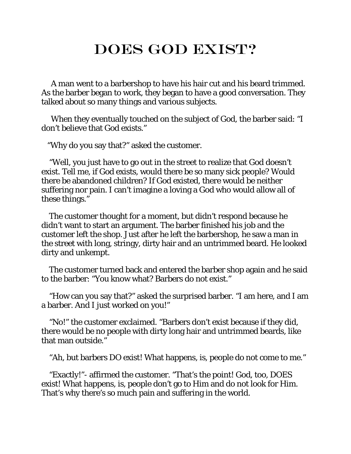# DOES GOD EXIST?

 A man went to a barbershop to have his hair cut and his beard trimmed. As the barber began to work, they began to have a good conversation. They talked about so many things and various subjects.

 When they eventually touched on the subject of God, the barber said: "I don't believe that God exists."

"Why do you say that?" asked the customer.

 "Well, you just have to go out in the street to realize that God doesn't exist. Tell me, if God exists, would there be so many sick people? Would there be abandoned children? If God existed, there would be neither suffering nor pain. I can't imagine a loving a God who would allow all of these things."

 The customer thought for a moment, but didn't respond because he didn't want to start an argument. The barber finished his job and the customer left the shop. Just after he left the barbershop, he saw a man in the street with long, stringy, dirty hair and an untrimmed beard. He looked dirty and unkempt.

 The customer turned back and entered the barber shop again and he said to the barber: "You know what? Barbers do not exist."

 "How can you say that?" asked the surprised barber. "I am here, and I am a barber. And I just worked on you!"

 "No!" the customer exclaimed. "Barbers don't exist because if they did, there would be no people with dirty long hair and untrimmed beards, like that man outside."

"Ah, but barbers DO exist! What happens, is, people do not come to me."

 "Exactly!"- affirmed the customer. "That's the point! God, too, DOES exist! What happens, is, people don't go to Him and do not look for Him. That's why there's so much pain and suffering in the world.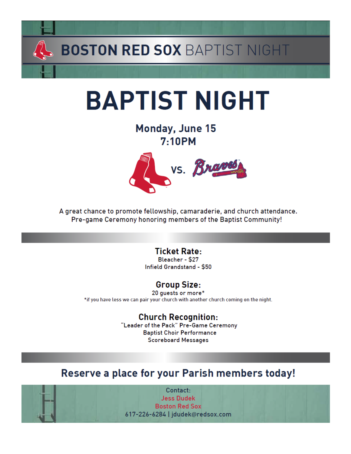

# **BAPTIST NIGHT**

## Monday, June 15  $7:10PM$



A great chance to promote fellowship, camaraderie, and church attendance. Pre-game Ceremony honoring members of the Baptist Community!

#### **Ticket Rate:**

Bleacher - \$27 Infield Grandstand - \$50

#### **Group Size:**

20 guests or more\* \*if you have less we can pair your church with another church coming on the night.

> **Church Recognition:** "Leader of the Pack" Pre-Game Ceremony **Baptist Choir Performance Scoreboard Messages**

## Reserve a place for your Parish members today!

Contact: **Jess Dudek Boston Red Sox** 617-226-6284 | jdudek@redsox.com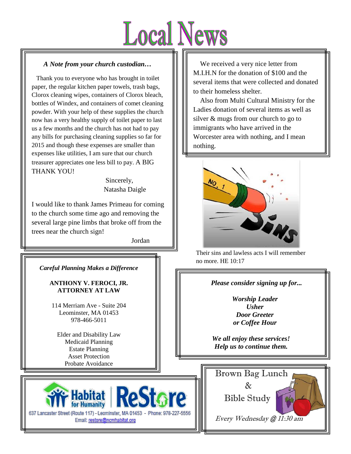

#### *A Note from your church custodian…*

 Thank you to everyone who has brought in toilet paper, the regular kitchen paper towels, trash bags, Clorox cleaning wipes, containers of Clorox bleach, bottles of Windex, and containers of comet cleaning powder. With your help of these supplies the church now has a very healthy supply of toilet paper to last us a few months and the church has not had to pay any bills for purchasing cleaning supplies so far for 2015 and though these expenses are smaller than expenses like utilities, I am sure that our church treasurer appreciates one less bill to pay. A BIG THANK YOU!

> Sincerely, Natasha Daigle

I would like to thank James Primeau for coming to the church some time ago and removing the several large pine limbs that broke off from the trees near the church sign!

Jordan

║ ║

Ξ

#### *Careful Planning Makes a Difference*

#### **ANTHONY V. FEROCI, JR. ATTORNEY AT LAW**

114 Merriam Ave - Suite 204 Leominster, MA 01453 978-466-5011

Elder and Disability Law Medicaid Planning Estate Planning Asset Protection Probate Avoidance

 We received a very nice letter from M.I.H.N for the donation of \$100 and the several items that were collected and donated to their homeless shelter.

 Also from Multi Cultural Ministry for the Ladies donation of several items as well as silver & mugs from our church to go to immigrants who have arrived in the Worcester area with nothing, and I mean nothing.



Their sins and lawless acts I will remember no more. HE 10:17

*Please consider signing up for...*

*Worship Leader Usher Door Greeter or Coffee Hour*

*We all enjoy these services! Help us to continue them.*



 & Bible Study



Email: restore@ncmhabitat.org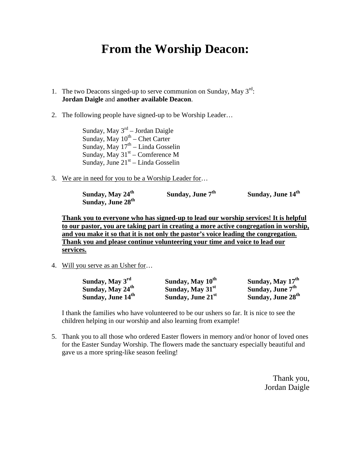## **From the Worship Deacon:**

- 1. The two Deacons singed-up to serve communion on Sunday, May  $3<sup>rd</sup>$ : **Jordan Daigle** and **another available Deacon**.
- 2. The following people have signed-up to be Worship Leader…

Sunday, May 3<sup>rd</sup> – Jordan Daigle Sunday, May 10<sup>th</sup> – Chet Carter Sunday, May  $17<sup>th</sup>$  – Linda Gosselin Sunday, May  $31<sup>st</sup>$  – Comference M Sunday, June  $21<sup>st</sup> -$  Linda Gosselin

3. We are in need for you to be a Worship Leader for…

**Sunday, May 24<sup>th</sup> <b>Sunday, June 7<sup>th</sup> Sunday, June 14<sup>th</sup>** Sunday, June 28<sup>th</sup>

**Thank you to everyone who has signed-up to lead our worship services! It is helpful to our pastor, you are taking part in creating a more active congregation in worship, and you make it so that it is not only the pastor's voice leading the congregation. Thank you and please continue volunteering your time and voice to lead our services.**

4. Will you serve as an Usher for…

| Sunday, May 3rd               | Sunday, May 10 <sup>th</sup>  | Sunday, May 17 <sup>th</sup>  |
|-------------------------------|-------------------------------|-------------------------------|
| Sunday, May 24 <sup>th</sup>  | Sunday, May 31 <sup>st</sup>  | Sunday, June 7 <sup>th</sup>  |
| Sunday, June 14 <sup>th</sup> | Sunday, June 21 <sup>st</sup> | Sunday, June 28 <sup>th</sup> |

I thank the families who have volunteered to be our ushers so far. It is nice to see the children helping in our worship and also learning from example!

5. Thank you to all those who ordered Easter flowers in memory and/or honor of loved ones for the Easter Sunday Worship. The flowers made the sanctuary especially beautiful and gave us a more spring-like season feeling!

> Thank you, Jordan Daigle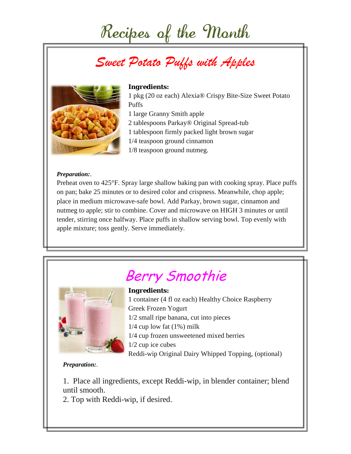# Recipes of the Month

# *Sweet Potato Puffs with Apples*



#### *Ingredients:*

 1 pkg (20 oz each) Alexia® Crispy Bite-Size Sweet Potato Puffs

1 large Granny Smith apple

2 tablespoons Parkay® Original Spread-tub

1 tablespoon firmly packed light brown sugar

1/4 teaspoon ground cinnamon

1/8 teaspoon ground nutmeg.

#### *Preparation:*.

Preheat oven to 425°F. Spray large shallow baking pan with cooking spray. Place puffs on pan; bake 25 minutes or to desired color and crispness. Meanwhile, chop apple; place in medium microwave-safe bowl. Add Parkay, brown sugar, cinnamon and nutmeg to apple; stir to combine. Cover and microwave on HIGH 3 minutes or until tender, stirring once halfway. Place puffs in shallow serving bowl. Top evenly with apple mixture; toss gently. Serve immediately.



#### *Ingredients:*

1 container (4 fl oz each) Healthy Choice Raspberry Greek Frozen Yogurt 1/2 small ripe banana, cut into pieces  $1/4$  cup low fat  $(1%)$  milk 1/4 cup frozen unsweetened mixed berries 1/2 cup ice cubes Reddi-wip Original Dairy Whipped Topping, (optional)

*Preparation:*.

1. Place all ingredients, except Reddi-wip, in blender container; blend until smooth.

2. Top with Reddi-wip, if desired.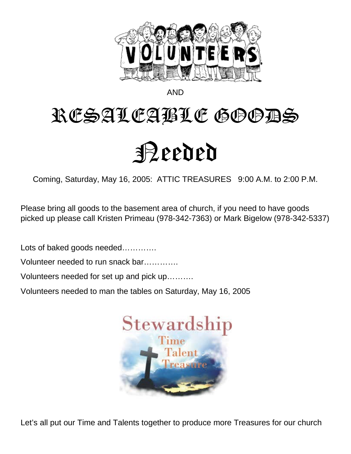

AND

# RESALEABLE GOODS

Peeded

Coming, Saturday, May 16, 2005: ATTIC TREASURES 9:00 A.M. to 2:00 P.M.

Please bring all goods to the basement area of church, if you need to have goods picked up please call Kristen Primeau (978-342-7363) or Mark Bigelow (978-342-5337)

Lots of baked goods needed.............

Volunteer needed to run snack bar………….

Volunteers needed for set up and pick up……….

Volunteers needed to man the tables on Saturday, May 16, 2005



Let's all put our Time and Talents together to produce more Treasures for our church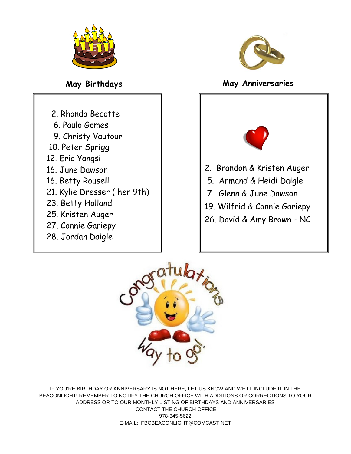

- 2. Rhonda Becotte
- 6. Paulo Gomes
- 9. Christy Vautour
- 10. Peter Sprigg
- 12. Eric Yangsi
- 16. June Dawson
- 16. Betty Rousell
- 21. Kylie Dresser ( her 9th)
- 23. Betty Holland
- 25. Kristen Auger
- 27. Connie Gariepy
- 28. Jordan Daigle



#### **May Birthdays May Anniversaries**



- 2. Brandon & Kristen Auger
- 5. Armand & Heidi Daigle
- 7. Glenn & June Dawson
- 19. Wilfrid & Connie Gariepy
- 26. David & Amy Brown NC



IF YOU'RE BIRTHDAY OR ANNIVERSARY IS NOT HERE, LET US KNOW AND WE'LL INCLUDE IT IN THE BEACONLIGHT! REMEMBER TO NOTIFY THE CHURCH OFFICE WITH ADDITIONS OR CORRECTIONS TO YOUR ADDRESS OR TO OUR MONTHLY LISTING OF BIRTHDAYS AND ANNIVERSARIES CONTACT THE CHURCH OFFICE 978-345-5622 E-MAIL: FBCBEACONLIGHT@COMCAST.NET